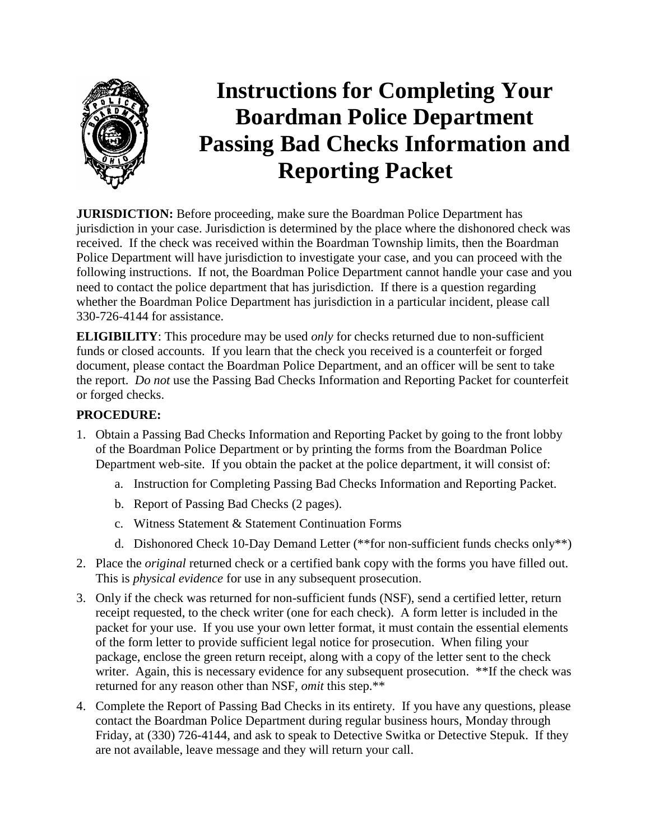

# **Instructions for Completing Your Boardman Police Department Passing Bad Checks Information and Reporting Packet**

**JURISDICTION:** Before proceeding, make sure the Boardman Police Department has jurisdiction in your case. Jurisdiction is determined by the place where the dishonored check was received. If the check was received within the Boardman Township limits, then the Boardman Police Department will have jurisdiction to investigate your case, and you can proceed with the following instructions. If not, the Boardman Police Department cannot handle your case and you need to contact the police department that has jurisdiction. If there is a question regarding whether the Boardman Police Department has jurisdiction in a particular incident, please call 330-726-4144 for assistance.

**ELIGIBILITY**: This procedure may be used *only* for checks returned due to non-sufficient funds or closed accounts. If you learn that the check you received is a counterfeit or forged document, please contact the Boardman Police Department, and an officer will be sent to take the report. *Do not* use the Passing Bad Checks Information and Reporting Packet for counterfeit or forged checks.

### **PROCEDURE:**

- 1. Obtain a Passing Bad Checks Information and Reporting Packet by going to the front lobby of the Boardman Police Department or by printing the forms from the Boardman Police Department web-site. If you obtain the packet at the police department, it will consist of:
	- a. Instruction for Completing Passing Bad Checks Information and Reporting Packet.
	- b. Report of Passing Bad Checks (2 pages).
	- c. Witness Statement & Statement Continuation Forms
	- d. Dishonored Check 10-Day Demand Letter (\*\*for non-sufficient funds checks only\*\*)
- 2. Place the *original* returned check or a certified bank copy with the forms you have filled out. This is *physical evidence* for use in any subsequent prosecution.
- 3. Only if the check was returned for non-sufficient funds (NSF), send a certified letter, return receipt requested, to the check writer (one for each check). A form letter is included in the packet for your use. If you use your own letter format, it must contain the essential elements of the form letter to provide sufficient legal notice for prosecution. When filing your package, enclose the green return receipt, along with a copy of the letter sent to the check writer. Again, this is necessary evidence for any subsequent prosecution. \*\*If the check was returned for any reason other than NSF, *omit* this step.\*\*
- 4. Complete the Report of Passing Bad Checks in its entirety. If you have any questions, please contact the Boardman Police Department during regular business hours, Monday through Friday, at (330) 726-4144, and ask to speak to Detective Switka or Detective Stepuk. If they are not available, leave message and they will return your call.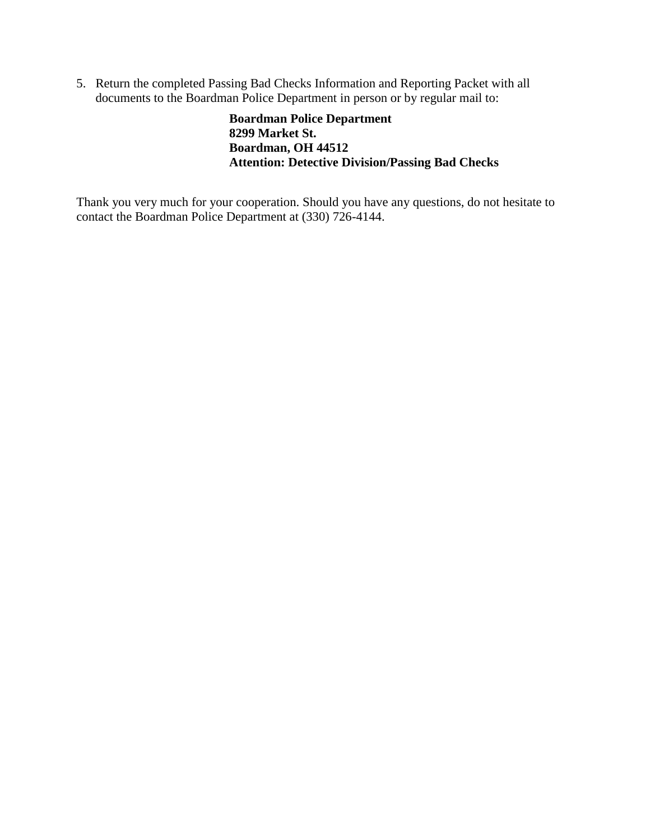5. Return the completed Passing Bad Checks Information and Reporting Packet with all documents to the Boardman Police Department in person or by regular mail to:

> **Boardman Police Department 8299 Market St. Boardman, OH 44512 Attention: Detective Division/Passing Bad Checks**

Thank you very much for your cooperation. Should you have any questions, do not hesitate to contact the Boardman Police Department at (330) 726-4144.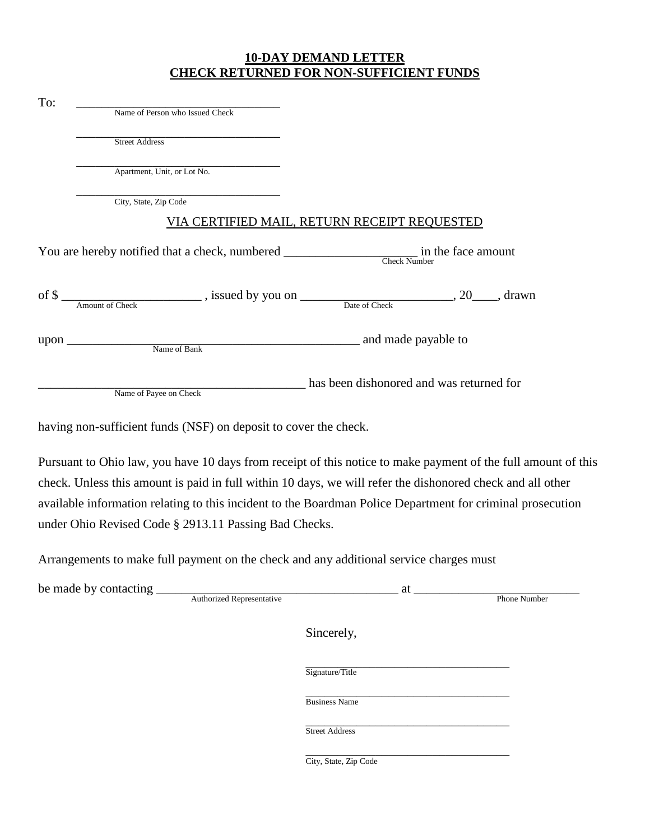### **10-DAY DEMAND LETTER CHECK RETURNED FOR NON-SUFFICIENT FUNDS**

To:  $\overline{\phantom{a}}$  Name of Person who Issued Check

\_\_\_\_\_\_\_\_\_\_\_\_\_\_\_\_\_\_\_\_\_\_\_\_\_\_\_\_\_\_\_\_ Street Address

\_\_\_\_\_\_\_\_\_\_\_\_\_\_\_\_\_\_\_\_\_\_\_\_\_\_\_\_\_\_\_\_ Apartment, Unit, or Lot No.

\_\_\_\_\_\_\_\_\_\_\_\_\_\_\_\_\_\_\_\_\_\_\_\_\_\_\_\_\_\_\_\_ City, State, Zip Code

### VIA CERTIFIED MAIL, RETURN RECEIPT REQUESTED

You are hereby notified that a check, numbered \_\_\_\_\_\_\_\_\_\_\_\_\_\_\_\_\_\_\_\_\_\_\_\_\_ in the face amount Check Number

| $\mathrm{of}\,\$$ |                        | , issued by you on |               | drawn<br>∠∪ |
|-------------------|------------------------|--------------------|---------------|-------------|
|                   | <b>Amount of Check</b> |                    | Date of Check |             |
|                   |                        |                    |               |             |

upon \_\_\_\_\_\_\_\_\_\_\_\_\_\_\_\_\_\_\_\_\_\_\_\_\_\_\_\_\_\_\_\_\_\_\_\_\_\_\_\_\_\_\_\_\_\_ and made payable to

Name of Bank

\_\_\_\_\_\_\_\_\_\_\_\_\_\_\_\_\_\_\_\_\_\_\_\_\_\_\_\_\_\_\_\_\_\_\_\_\_\_\_\_\_\_ has been dishonored and was returned for

Name of Payee on Check

having non-sufficient funds (NSF) on deposit to cover the check.

Pursuant to Ohio law, you have 10 days from receipt of this notice to make payment of the full amount of this check. Unless this amount is paid in full within 10 days, we will refer the dishonored check and all other available information relating to this incident to the Boardman Police Department for criminal prosecution under Ohio Revised Code § 2913.11 Passing Bad Checks.

Arrangements to make full payment on the check and any additional service charges must

| be made<br>$\mathbf{U}$ |                                                                                                                              | ш. |                        |
|-------------------------|------------------------------------------------------------------------------------------------------------------------------|----|------------------------|
|                         | ≅entative<br>the contract of the contract of the contract of the contract of the contract of the contract of the contract of |    | umbe <sup>.</sup><br>n |

Sincerely,

\_\_\_\_\_\_\_\_\_\_\_\_\_\_\_\_\_\_\_\_\_\_\_\_\_\_\_\_\_\_\_\_ Signature/Title

\_\_\_\_\_\_\_\_\_\_\_\_\_\_\_\_\_\_\_\_\_\_\_\_\_\_\_\_\_\_\_\_ Business Name

\_\_\_\_\_\_\_\_\_\_\_\_\_\_\_\_\_\_\_\_\_\_\_\_\_\_\_\_\_\_\_\_ Street Address

\_\_\_\_\_\_\_\_\_\_\_\_\_\_\_\_\_\_\_\_\_\_\_\_\_\_\_\_\_\_\_\_ City, State, Zip Code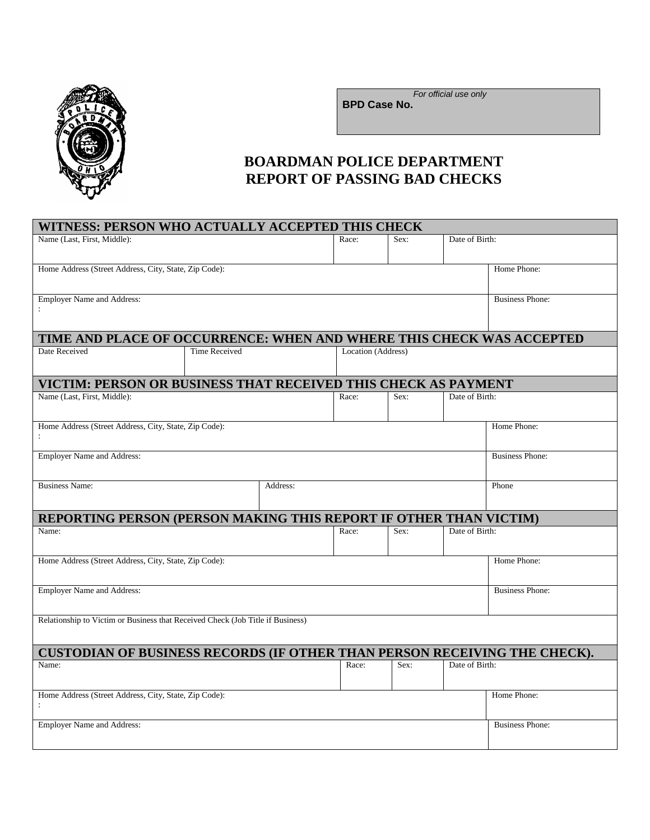

WITNESS: PERSON WILL ACTUALLY **ACTED** THIS CHECK

*For official use only*

**BPD Case No.**

## **BOARDMAN POLICE DEPARTMENT REPORT OF PASSING BAD CHECKS**

|                                                                                |                      | WITNESS: PERSON WHO ACTUALLY ACCEPTED THIS CHECK |       |                    |                |                        |  |
|--------------------------------------------------------------------------------|----------------------|--------------------------------------------------|-------|--------------------|----------------|------------------------|--|
| Name (Last, First, Middle):                                                    |                      | Race:                                            | Sex:  | Date of Birth:     |                |                        |  |
| Home Address (Street Address, City, State, Zip Code):                          |                      | Home Phone:                                      |       |                    |                |                        |  |
| <b>Employer Name and Address:</b>                                              |                      |                                                  |       |                    |                | <b>Business Phone:</b> |  |
|                                                                                |                      |                                                  |       |                    |                |                        |  |
| TIME AND PLACE OF OCCURRENCE: WHEN AND WHERE THIS CHECK WAS ACCEPTED           |                      |                                                  |       |                    |                |                        |  |
| Date Received                                                                  | <b>Time Received</b> |                                                  |       | Location (Address) |                |                        |  |
| VICTIM: PERSON OR BUSINESS THAT RECEIVED THIS CHECK AS PAYMENT                 |                      |                                                  |       |                    |                |                        |  |
| Name (Last, First, Middle):                                                    |                      |                                                  | Race: | Sex:               | Date of Birth: |                        |  |
| Home Address (Street Address, City, State, Zip Code):                          |                      |                                                  |       |                    |                | Home Phone:            |  |
| <b>Employer Name and Address:</b>                                              |                      | <b>Business Phone:</b>                           |       |                    |                |                        |  |
| <b>Business Name:</b><br>Address:                                              |                      |                                                  |       |                    |                | Phone                  |  |
| <b>REPORTING PERSON (PERSON MAKING THIS REPORT IF OTHER THAN VICTIM)</b>       |                      |                                                  |       |                    |                |                        |  |
| Date of Birth:<br>Sex:<br>Name:<br>Race:                                       |                      |                                                  |       |                    |                |                        |  |
| Home Address (Street Address, City, State, Zip Code):                          |                      |                                                  |       |                    |                | Home Phone:            |  |
| <b>Employer Name and Address:</b>                                              |                      |                                                  |       |                    |                | <b>Business Phone:</b> |  |
| Relationship to Victim or Business that Received Check (Job Title if Business) |                      |                                                  |       |                    |                |                        |  |
| CUSTODIAN OF BUSINESS RECORDS (IF OTHER THAN PERSON RECEIVING THE CHECK).      |                      |                                                  |       |                    |                |                        |  |
|                                                                                |                      |                                                  | Race: | Sex:               | Date of Birth: |                        |  |
| Name:                                                                          |                      |                                                  |       |                    |                |                        |  |
| Home Address (Street Address, City, State, Zip Code):                          |                      |                                                  |       |                    |                | Home Phone:            |  |
|                                                                                |                      |                                                  |       |                    |                |                        |  |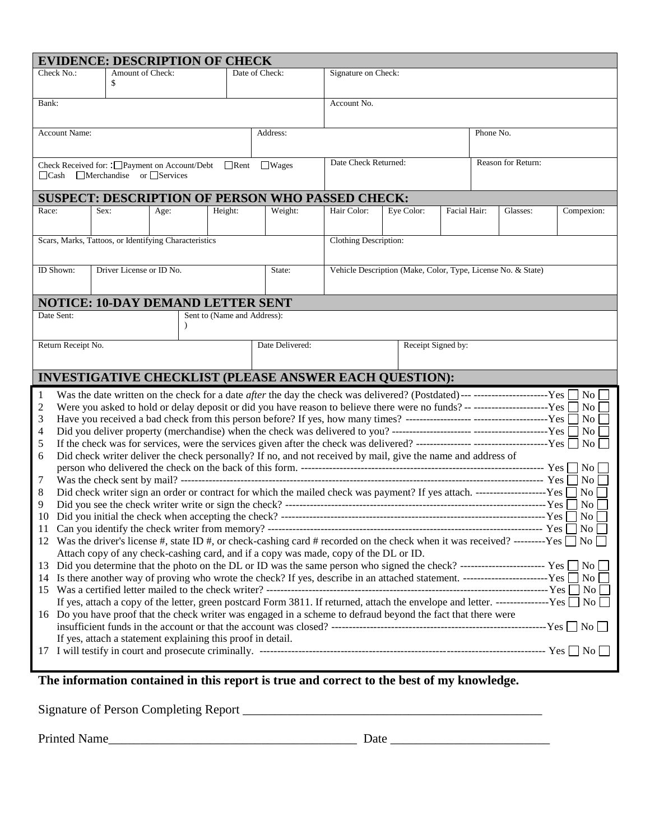|                                                                                                                                        |                                                                                                                                                                                                                              |                         | <b>EVIDENCE: DESCRIPTION OF CHECK</b>                       |                             |                                                                                                                                       |                              |                    |              |                    |                             |
|----------------------------------------------------------------------------------------------------------------------------------------|------------------------------------------------------------------------------------------------------------------------------------------------------------------------------------------------------------------------------|-------------------------|-------------------------------------------------------------|-----------------------------|---------------------------------------------------------------------------------------------------------------------------------------|------------------------------|--------------------|--------------|--------------------|-----------------------------|
|                                                                                                                                        | Check No.:                                                                                                                                                                                                                   | Amount of Check:<br>\$  |                                                             |                             | Date of Check:                                                                                                                        | Signature on Check:          |                    |              |                    |                             |
| Bank:                                                                                                                                  |                                                                                                                                                                                                                              |                         |                                                             |                             |                                                                                                                                       | Account No.                  |                    |              |                    |                             |
|                                                                                                                                        | <b>Account Name:</b>                                                                                                                                                                                                         |                         |                                                             |                             | Address:                                                                                                                              |                              |                    |              | Phone No.          |                             |
| $\Box$ Cash                                                                                                                            |                                                                                                                                                                                                                              | Merchandise or Services | Check Received for: :□Payment on Account/Debt □Rent         |                             | $\Box$ Wages                                                                                                                          | Date Check Returned:         |                    |              | Reason for Return: |                             |
|                                                                                                                                        |                                                                                                                                                                                                                              |                         |                                                             |                             | <b>SUSPECT: DESCRIPTION OF PERSON WHO PASSED CHECK:</b>                                                                               |                              |                    |              |                    |                             |
| Race:                                                                                                                                  |                                                                                                                                                                                                                              | Sex:                    | Age:                                                        | Height:                     | Weight:                                                                                                                               | Hair Color:                  | Eye Color:         | Facial Hair: | Glasses:           | Compexion:                  |
|                                                                                                                                        |                                                                                                                                                                                                                              |                         | Scars, Marks, Tattoos, or Identifying Characteristics       |                             |                                                                                                                                       | <b>Clothing Description:</b> |                    |              |                    |                             |
| ID Shown:<br>Driver License or ID No.<br>State:<br>Vehicle Description (Make, Color, Type, License No. & State)                        |                                                                                                                                                                                                                              |                         |                                                             |                             |                                                                                                                                       |                              |                    |              |                    |                             |
|                                                                                                                                        |                                                                                                                                                                                                                              |                         | <b>NOTICE: 10-DAY DEMAND LETTER SENT</b>                    |                             |                                                                                                                                       |                              |                    |              |                    |                             |
|                                                                                                                                        | Date Sent:                                                                                                                                                                                                                   |                         |                                                             | Sent to (Name and Address): |                                                                                                                                       |                              |                    |              |                    |                             |
|                                                                                                                                        | Return Receipt No.                                                                                                                                                                                                           |                         |                                                             |                             | Date Delivered:                                                                                                                       |                              | Receipt Signed by: |              |                    |                             |
|                                                                                                                                        |                                                                                                                                                                                                                              |                         |                                                             |                             | <b>INVESTIGATIVE CHECKLIST (PLEASE ANSWER EACH QUESTION):</b>                                                                         |                              |                    |              |                    |                             |
| -1                                                                                                                                     |                                                                                                                                                                                                                              |                         |                                                             |                             | Was the date written on the check for a date <i>after</i> the day the check was delivered? (Postdated)----------------------------Yes |                              |                    |              |                    | No l                        |
| 2                                                                                                                                      |                                                                                                                                                                                                                              |                         |                                                             |                             | Were you asked to hold or delay deposit or did you have reason to believe there were no funds? -- -----------------------Yes          |                              |                    |              |                    | $\overline{N_{0}}$          |
| 3                                                                                                                                      |                                                                                                                                                                                                                              |                         |                                                             |                             |                                                                                                                                       |                              |                    |              |                    | $ N_{0} $                   |
| 4<br>5                                                                                                                                 |                                                                                                                                                                                                                              |                         |                                                             |                             |                                                                                                                                       |                              |                    |              |                    | $\overline{\phantom{a}}$ No |
| 6                                                                                                                                      |                                                                                                                                                                                                                              |                         |                                                             |                             | Did check writer deliver the check personally? If no, and not received by mail, give the name and address of                          |                              |                    |              |                    |                             |
|                                                                                                                                        |                                                                                                                                                                                                                              |                         |                                                             |                             |                                                                                                                                       |                              |                    |              |                    |                             |
| 7                                                                                                                                      |                                                                                                                                                                                                                              |                         |                                                             |                             |                                                                                                                                       |                              |                    |              |                    | $\overline{N_{O}}$          |
| 8                                                                                                                                      |                                                                                                                                                                                                                              |                         |                                                             |                             |                                                                                                                                       | $\vert$ No $\vert$           |                    |              |                    |                             |
| 9                                                                                                                                      |                                                                                                                                                                                                                              |                         |                                                             |                             |                                                                                                                                       |                              |                    | No l         |                    |                             |
| 10                                                                                                                                     |                                                                                                                                                                                                                              |                         |                                                             |                             |                                                                                                                                       |                              |                    |              |                    | $\overline{N_0}$            |
|                                                                                                                                        |                                                                                                                                                                                                                              |                         |                                                             |                             |                                                                                                                                       |                              |                    |              |                    |                             |
|                                                                                                                                        | 12 Was the driver's license #, state ID #, or check-cashing card # recorded on the check when it was received? --------Yes $\Box$ No<br>Attach copy of any check-cashing card, and if a copy was made, copy of the DL or ID. |                         |                                                             |                             |                                                                                                                                       |                              |                    |              |                    |                             |
|                                                                                                                                        |                                                                                                                                                                                                                              |                         |                                                             |                             |                                                                                                                                       |                              |                    |              |                    |                             |
| 13 Did you determine that the photo on the DL or ID was the same person who signed the check? ----------------------------- Yes No     |                                                                                                                                                                                                                              |                         |                                                             |                             |                                                                                                                                       |                              | $\overline{N_{O}}$ |              |                    |                             |
| If yes, attach a copy of the letter, green postcard Form 3811. If returned, attach the envelope and letter. ----------------Yes □ No □ |                                                                                                                                                                                                                              |                         |                                                             |                             |                                                                                                                                       |                              |                    |              |                    |                             |
|                                                                                                                                        |                                                                                                                                                                                                                              |                         |                                                             |                             |                                                                                                                                       |                              |                    |              |                    |                             |
| 16 Do you have proof that the check writer was engaged in a scheme to defraud beyond the fact that there were                          |                                                                                                                                                                                                                              |                         |                                                             |                             |                                                                                                                                       |                              |                    |              |                    |                             |
|                                                                                                                                        |                                                                                                                                                                                                                              |                         | If yes, attach a statement explaining this proof in detail. |                             |                                                                                                                                       |                              |                    |              |                    |                             |
|                                                                                                                                        |                                                                                                                                                                                                                              |                         |                                                             |                             |                                                                                                                                       |                              |                    |              |                    |                             |
|                                                                                                                                        |                                                                                                                                                                                                                              |                         |                                                             |                             |                                                                                                                                       |                              |                    |              |                    |                             |

**The information contained in this report is true and correct to the best of my knowledge.**

Signature of Person Completing Report \_\_\_\_\_\_\_\_\_\_\_\_\_\_\_\_\_\_\_\_\_\_\_\_\_\_\_\_\_\_\_\_\_\_\_\_\_\_\_\_\_\_\_\_\_\_\_

Printed Name\_\_\_\_\_\_\_\_\_\_\_\_\_\_\_\_\_\_\_\_\_\_\_\_\_\_\_\_\_\_\_\_\_\_\_\_\_\_\_ Date \_\_\_\_\_\_\_\_\_\_\_\_\_\_\_\_\_\_\_\_\_\_\_\_\_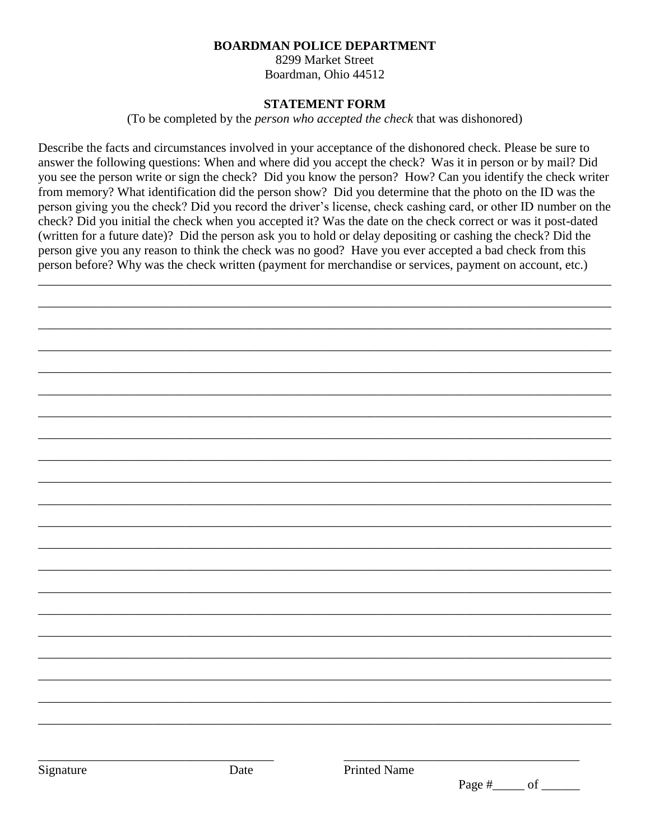#### **BOARDMAN POLICE DEPARTMENT**

8299 Market Street Boardman, Ohio 44512

### **STATEMENT FORM**

(To be completed by the *person who accepted the check* that was dishonored)

Describe the facts and circumstances involved in your acceptance of the dishonored check. Please be sure to answer the following questions: When and where did you accept the check? Was it in person or by mail? Did you see the person write or sign the check? Did you know the person? How? Can you identify the check writer from memory? What identification did the person show? Did you determine that the photo on the ID was the person giving you the check? Did you record the driver's license, check cashing card, or other ID number on the check? Did you initial the check when you accepted it? Was the date on the check correct or was it post-dated (written for a future date)? Did the person ask you to hold or delay depositing or cashing the check? Did the person give you any reason to think the check was no good? Have you ever accepted a bad check from this person before? Why was the check written (payment for merchandise or services, payment on account, etc.)

\_\_\_\_\_\_\_\_\_\_\_\_\_\_\_\_\_\_\_\_\_\_\_\_\_\_\_\_\_\_\_\_\_\_\_\_\_\_\_\_\_\_\_\_\_\_\_\_\_\_\_\_\_\_\_\_\_\_\_\_\_\_\_\_\_\_\_\_\_\_\_\_\_\_\_\_\_\_\_\_\_\_\_\_\_\_\_\_\_\_

\_\_\_\_\_\_\_\_\_\_\_\_\_\_\_\_\_\_\_\_\_\_\_\_\_\_\_\_\_\_\_\_\_\_\_\_\_\_\_\_\_\_\_\_\_\_\_\_\_\_\_\_\_\_\_\_\_\_\_\_\_\_\_\_\_\_\_\_\_\_\_\_\_\_\_\_\_\_\_\_\_\_\_\_\_\_\_\_\_\_

\_\_\_\_\_\_\_\_\_\_\_\_\_\_\_\_\_\_\_\_\_\_\_\_\_\_\_\_\_\_\_\_\_\_\_\_\_\_\_\_\_\_\_\_\_\_\_\_\_\_\_\_\_\_\_\_\_\_\_\_\_\_\_\_\_\_\_\_\_\_\_\_\_\_\_\_\_\_\_\_\_\_\_\_\_\_\_\_\_\_

\_\_\_\_\_\_\_\_\_\_\_\_\_\_\_\_\_\_\_\_\_\_\_\_\_\_\_\_\_\_\_\_\_\_\_\_\_\_\_\_\_\_\_\_\_\_\_\_\_\_\_\_\_\_\_\_\_\_\_\_\_\_\_\_\_\_\_\_\_\_\_\_\_\_\_\_\_\_\_\_\_\_\_\_\_\_\_\_\_\_

\_\_\_\_\_\_\_\_\_\_\_\_\_\_\_\_\_\_\_\_\_\_\_\_\_\_\_\_\_\_\_\_\_\_\_\_\_\_\_\_\_\_\_\_\_\_\_\_\_\_\_\_\_\_\_\_\_\_\_\_\_\_\_\_\_\_\_\_\_\_\_\_\_\_\_\_\_\_\_\_\_\_\_\_\_\_\_\_\_\_

\_\_\_\_\_\_\_\_\_\_\_\_\_\_\_\_\_\_\_\_\_\_\_\_\_\_\_\_\_\_\_\_\_\_\_\_\_\_\_\_\_\_\_\_\_\_\_\_\_\_\_\_\_\_\_\_\_\_\_\_\_\_\_\_\_\_\_\_\_\_\_\_\_\_\_\_\_\_\_\_\_\_\_\_\_\_\_\_\_\_

\_\_\_\_\_\_\_\_\_\_\_\_\_\_\_\_\_\_\_\_\_\_\_\_\_\_\_\_\_\_\_\_\_\_\_\_\_\_\_\_\_\_\_\_\_\_\_\_\_\_\_\_\_\_\_\_\_\_\_\_\_\_\_\_\_\_\_\_\_\_\_\_\_\_\_\_\_\_\_\_\_\_\_\_\_\_\_\_\_\_

\_\_\_\_\_\_\_\_\_\_\_\_\_\_\_\_\_\_\_\_\_\_\_\_\_\_\_\_\_\_\_\_\_\_\_\_\_\_\_\_\_\_\_\_\_\_\_\_\_\_\_\_\_\_\_\_\_\_\_\_\_\_\_\_\_\_\_\_\_\_\_\_\_\_\_\_\_\_\_\_\_\_\_\_\_\_\_\_\_\_

\_\_\_\_\_\_\_\_\_\_\_\_\_\_\_\_\_\_\_\_\_\_\_\_\_\_\_\_\_\_\_\_\_\_\_\_\_\_\_\_\_\_\_\_\_\_\_\_\_\_\_\_\_\_\_\_\_\_\_\_\_\_\_\_\_\_\_\_\_\_\_\_\_\_\_\_\_\_\_\_\_\_\_\_\_\_\_\_\_\_

\_\_\_\_\_\_\_\_\_\_\_\_\_\_\_\_\_\_\_\_\_\_\_\_\_\_\_\_\_\_\_\_\_\_\_\_\_\_\_\_\_\_\_\_\_\_\_\_\_\_\_\_\_\_\_\_\_\_\_\_\_\_\_\_\_\_\_\_\_\_\_\_\_\_\_\_\_\_\_\_\_\_\_\_\_\_\_\_\_\_

\_\_\_\_\_\_\_\_\_\_\_\_\_\_\_\_\_\_\_\_\_\_\_\_\_\_\_\_\_\_\_\_\_\_\_\_\_\_\_\_\_\_\_\_\_\_\_\_\_\_\_\_\_\_\_\_\_\_\_\_\_\_\_\_\_\_\_\_\_\_\_\_\_\_\_\_\_\_\_\_\_\_\_\_\_\_\_\_\_\_

\_\_\_\_\_\_\_\_\_\_\_\_\_\_\_\_\_\_\_\_\_\_\_\_\_\_\_\_\_\_\_\_\_\_\_\_\_\_\_\_\_\_\_\_\_\_\_\_\_\_\_\_\_\_\_\_\_\_\_\_\_\_\_\_\_\_\_\_\_\_\_\_\_\_\_\_\_\_\_\_\_\_\_\_\_\_\_\_\_\_

\_\_\_\_\_\_\_\_\_\_\_\_\_\_\_\_\_\_\_\_\_\_\_\_\_\_\_\_\_\_\_\_\_\_\_\_\_\_\_\_\_\_\_\_\_\_\_\_\_\_\_\_\_\_\_\_\_\_\_\_\_\_\_\_\_\_\_\_\_\_\_\_\_\_\_\_\_\_\_\_\_\_\_\_\_\_\_\_\_\_

\_\_\_\_\_\_\_\_\_\_\_\_\_\_\_\_\_\_\_\_\_\_\_\_\_\_\_\_\_\_\_\_\_\_\_\_\_\_\_\_\_\_\_\_\_\_\_\_\_\_\_\_\_\_\_\_\_\_\_\_\_\_\_\_\_\_\_\_\_\_\_\_\_\_\_\_\_\_\_\_\_\_\_\_\_\_\_\_\_\_

\_\_\_\_\_\_\_\_\_\_\_\_\_\_\_\_\_\_\_\_\_\_\_\_\_\_\_\_\_\_\_\_\_\_\_\_\_\_\_\_\_\_\_\_\_\_\_\_\_\_\_\_\_\_\_\_\_\_\_\_\_\_\_\_\_\_\_\_\_\_\_\_\_\_\_\_\_\_\_\_\_\_\_\_\_\_\_\_\_\_

\_\_\_\_\_\_\_\_\_\_\_\_\_\_\_\_\_\_\_\_\_\_\_\_\_\_\_\_\_\_\_\_\_\_\_\_\_\_\_\_\_\_\_\_\_\_\_\_\_\_\_\_\_\_\_\_\_\_\_\_\_\_\_\_\_\_\_\_\_\_\_\_\_\_\_\_\_\_\_\_\_\_\_\_\_\_\_\_\_\_

\_\_\_\_\_\_\_\_\_\_\_\_\_\_\_\_\_\_\_\_\_\_\_\_\_\_\_\_\_\_\_\_\_\_\_\_\_\_\_\_\_\_\_\_\_\_\_\_\_\_\_\_\_\_\_\_\_\_\_\_\_\_\_\_\_\_\_\_\_\_\_\_\_\_\_\_\_\_\_\_\_\_\_\_\_\_\_\_\_\_

\_\_\_\_\_\_\_\_\_\_\_\_\_\_\_\_\_\_\_\_\_\_\_\_\_\_\_\_\_\_\_\_\_\_\_\_\_\_\_\_\_\_\_\_\_\_\_\_\_\_\_\_\_\_\_\_\_\_\_\_\_\_\_\_\_\_\_\_\_\_\_\_\_\_\_\_\_\_\_\_\_\_\_\_\_\_\_\_\_\_

\_\_\_\_\_\_\_\_\_\_\_\_\_\_\_\_\_\_\_\_\_\_\_\_\_\_\_\_\_\_\_\_\_\_\_\_\_\_\_\_\_\_\_\_\_\_\_\_\_\_\_\_\_\_\_\_\_\_\_\_\_\_\_\_\_\_\_\_\_\_\_\_\_\_\_\_\_\_\_\_\_\_\_\_\_\_\_\_\_\_

\_\_\_\_\_\_\_\_\_\_\_\_\_\_\_\_\_\_\_\_\_\_\_\_\_\_\_\_\_\_\_\_\_\_\_\_\_\_\_\_\_\_\_\_\_\_\_\_\_\_\_\_\_\_\_\_\_\_\_\_\_\_\_\_\_\_\_\_\_\_\_\_\_\_\_\_\_\_\_\_\_\_\_\_\_\_\_\_\_\_

\_\_\_\_\_\_\_\_\_\_\_\_\_\_\_\_\_\_\_\_\_\_\_\_\_\_\_\_\_\_\_\_\_\_\_\_\_\_\_\_\_\_\_\_\_\_\_\_\_\_\_\_\_\_\_\_\_\_\_\_\_\_\_\_\_\_\_\_\_\_\_\_\_\_\_\_\_\_\_\_\_\_\_\_\_\_\_\_\_\_

\_\_\_\_\_\_\_\_\_\_\_\_\_\_\_\_\_\_\_\_\_\_\_\_\_\_\_\_\_\_\_\_\_\_\_\_\_ \_\_\_\_\_\_\_\_\_\_\_\_\_\_\_\_\_\_\_\_\_\_\_\_\_\_\_\_\_\_\_\_\_\_\_\_\_

Date Printed Name

Page #\_\_\_\_\_\_\_ of \_\_\_\_\_\_\_\_\_